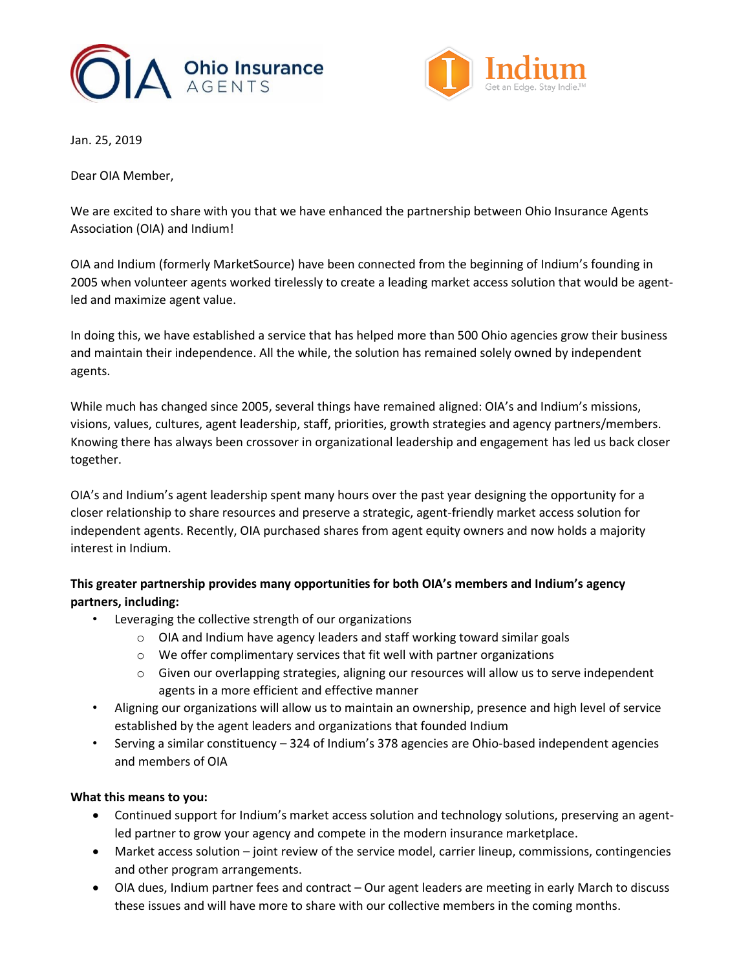



Jan. 25, 2019

Dear OIA Member,

We are excited to share with you that we have enhanced the partnership between Ohio Insurance Agents Association (OIA) and Indium!

OIA and Indium (formerly MarketSource) have been connected from the beginning of Indium's founding in 2005 when volunteer agents worked tirelessly to create a leading market access solution that would be agentled and maximize agent value.

In doing this, we have established a service that has helped more than 500 Ohio agencies grow their business and maintain their independence. All the while, the solution has remained solely owned by independent agents.

While much has changed since 2005, several things have remained aligned: OIA's and Indium's missions, visions, values, cultures, agent leadership, staff, priorities, growth strategies and agency partners/members. Knowing there has always been crossover in organizational leadership and engagement has led us back closer together.

OIA's and Indium's agent leadership spent many hours over the past year designing the opportunity for a closer relationship to share resources and preserve a strategic, agent-friendly market access solution for independent agents. Recently, OIA purchased shares from agent equity owners and now holds a majority interest in Indium.

# **This greater partnership provides many opportunities for both OIA's members and Indium's agency partners, including:**

- Leveraging the collective strength of our organizations
	- o OIA and Indium have agency leaders and staff working toward similar goals
	- o We offer complimentary services that fit well with partner organizations
	- o Given our overlapping strategies, aligning our resources will allow us to serve independent agents in a more efficient and effective manner
- Aligning our organizations will allow us to maintain an ownership, presence and high level of service established by the agent leaders and organizations that founded Indium
- Serving a similar constituency 324 of Indium's 378 agencies are Ohio-based independent agencies and members of OIA

## **What this means to you:**

- Continued support for Indium's market access solution and technology solutions, preserving an agentled partner to grow your agency and compete in the modern insurance marketplace.
- Market access solution joint review of the service model, carrier lineup, commissions, contingencies and other program arrangements.
- OIA dues, Indium partner fees and contract Our agent leaders are meeting in early March to discuss these issues and will have more to share with our collective members in the coming months.